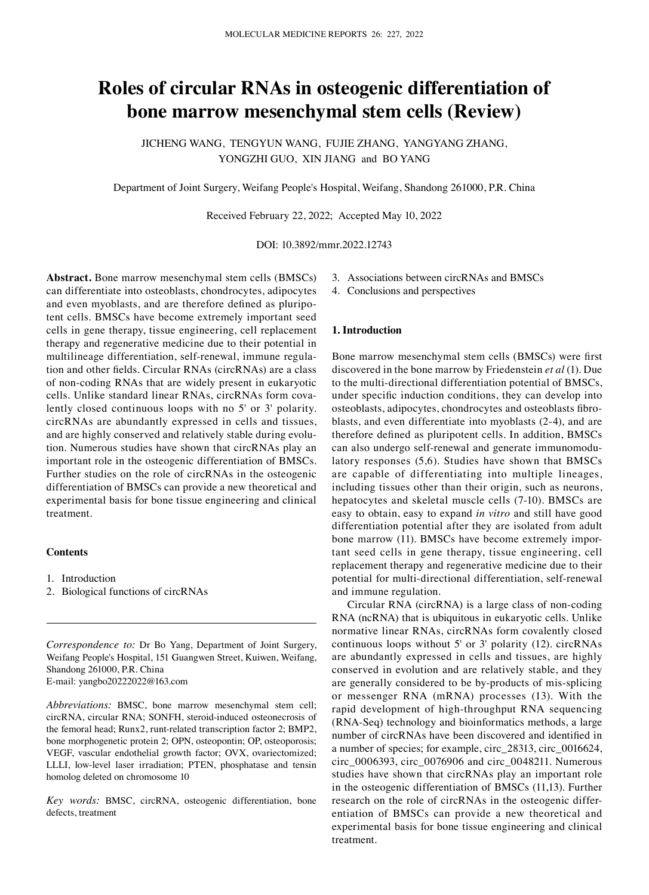# **Roles of circular RNAs in osteogenic differentiation of bone marrow mesenchymal stem cells (Review)**

JICHENG WANG, TENGYUN WANG, FUJIE ZHANG, YANGYANG ZHANG, YONGZHI GUO, XIN JIANG and BO YANG

Department of Joint Surgery, Weifang People's Hospital, Weifang, Shandong 261000, P.R. China

Received February 22, 2022; Accepted May 10, 2022

DOI: 10.3892/mmr.2022.12743

**Abstract.** Bone marrow mesenchymal stem cells (BMSCs) can differentiate into osteoblasts, chondrocytes, adipocytes and even myoblasts, and are therefore defined as pluripotent cells. BMSCs have become extremely important seed cells in gene therapy, tissue engineering, cell replacement therapy and regenerative medicine due to their potential in multilineage differentiation, self-renewal, immune regulation and other fields. Circular RNAs (circRNAs) are a class of non‑coding RNAs that are widely present in eukaryotic cells. Unlike standard linear RNAs, circRNAs form covalently closed continuous loops with no 5' or 3' polarity. circRNAs are abundantly expressed in cells and tissues, and are highly conserved and relatively stable during evolution. Numerous studies have shown that circRNAs play an important role in the osteogenic differentiation of BMSCs. Further studies on the role of circRNAs in the osteogenic differentiation of BMSCs can provide a new theoretical and experimental basis for bone tissue engineering and clinical treatment.

## **Contents**

- 1. Introduction
- 2. Biological functions of circRNAs

*Correspondence to:* Dr Bo Yang, Department of Joint Surgery, Weifang People's Hospital, 151 Guangwen Street, Kuiwen, Weifang, Shandong 261000, P.R. China E‑mail: yangbo20222022@163.com

*Abbreviations:* BMSC, bone marrow mesenchymal stem cell; circRNA, circular RNA; SONFH, steroid‑induced osteonecrosis of the femoral head; Runx2, runt-related transcription factor 2; BMP2, bone morphogenetic protein 2; OPN, osteopontin; OP, osteoporosis; VEGF, vascular endothelial growth factor; OVX, ovariectomized; LLLI, low-level laser irradiation; PTEN, phosphatase and tensin homolog deleted on chromosome 10

*Key words:* BMSC, circRNA, osteogenic differentiation, bone defects, treatment

3. Associations between circRNAs and BMSCs

4. Conclusions and perspectives

#### **1. Introduction**

Bone marrow mesenchymal stem cells (BMSCs) were first discovered in the bone marrow by Friedenstein *et al* (1). Due to the multi-directional differentiation potential of BMSCs, under specific induction conditions, they can develop into osteoblasts, adipocytes, chondrocytes and osteoblasts fibroblasts, and even differentiate into myoblasts (2‑4), and are therefore defined as pluripotent cells. In addition, BMSCs can also undergo self-renewal and generate immunomodulatory responses (5,6). Studies have shown that BMSCs are capable of differentiating into multiple lineages, including tissues other than their origin, such as neurons, hepatocytes and skeletal muscle cells (7‑10). BMSCs are easy to obtain, easy to expand *in vitro* and still have good differentiation potential after they are isolated from adult bone marrow (11). BMSCs have become extremely important seed cells in gene therapy, tissue engineering, cell replacement therapy and regenerative medicine due to their potential for multi-directional differentiation, self-renewal and immune regulation.

Circular RNA (circRNA) is a large class of non‑coding RNA (ncRNA) that is ubiquitous in eukaryotic cells. Unlike normative linear RNAs, circRNAs form covalently closed continuous loops without 5' or 3' polarity (12). circRNAs are abundantly expressed in cells and tissues, are highly conserved in evolution and are relatively stable, and they are generally considered to be by‑products of mis‑splicing or messenger RNA (mRNA) processes (13). With the rapid development of high-throughput RNA sequencing (RNA‑Seq) technology and bioinformatics methods, a large number of circRNAs have been discovered and identified in a number of species; for example, circ\_28313, circ\_0016624, circ\_0006393, circ\_0076906 and circ\_0048211. Numerous studies have shown that circRNAs play an important role in the osteogenic differentiation of BMSCs (11,13). Further research on the role of circRNAs in the osteogenic differentiation of BMSCs can provide a new theoretical and experimental basis for bone tissue engineering and clinical treatment.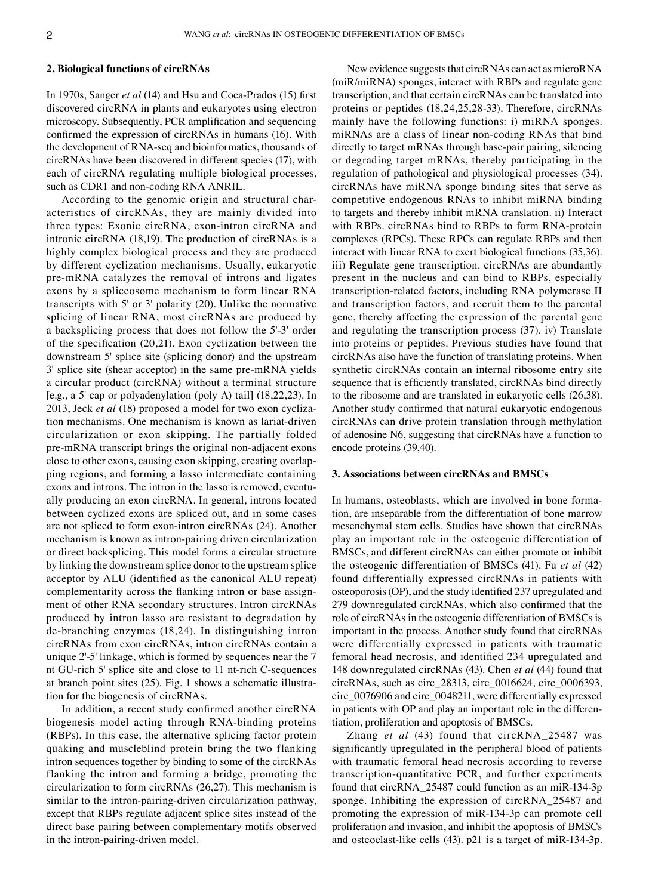#### **2. Biological functions of circRNAs**

In 1970s, Sanger *et al* (14) and Hsu and Coca‑Prados (15) first discovered circRNA in plants and eukaryotes using electron microscopy. Subsequently, PCR amplification and sequencing confirmed the expression of circRNAs in humans (16). With the development of RNA‑seq and bioinformatics, thousands of circRNAs have been discovered in different species (17), with each of circRNA regulating multiple biological processes, such as CDR1 and non-coding RNA ANRIL.

According to the genomic origin and structural characteristics of circRNAs, they are mainly divided into three types: Exonic circRNA, exon‑intron circRNA and intronic circRNA (18,19). The production of circRNAs is a highly complex biological process and they are produced by different cyclization mechanisms. Usually, eukaryotic pre‑mRNA catalyzes the removal of introns and ligates exons by a spliceosome mechanism to form linear RNA transcripts with 5' or 3' polarity (20). Unlike the normative splicing of linear RNA, most circRNAs are produced by a backsplicing process that does not follow the 5'‑3' order of the specification (20,21). Exon cyclization between the downstream 5' splice site (splicing donor) and the upstream 3' splice site (shear acceptor) in the same pre‑mRNA yields a circular product (circRNA) without a terminal structure [e.g., a 5' cap or polyadenylation (poly A) tail] (18,22,23). In 2013, Jeck *et al* (18) proposed a model for two exon cyclization mechanisms. One mechanism is known as lariat‑driven circularization or exon skipping. The partially folded pre-mRNA transcript brings the original non-adjacent exons close to other exons, causing exon skipping, creating overlapping regions, and forming a lasso intermediate containing exons and introns. The intron in the lasso is removed, eventually producing an exon circRNA. In general, introns located between cyclized exons are spliced out, and in some cases are not spliced to form exon‑intron circRNAs (24). Another mechanism is known as intron‑pairing driven circularization or direct backsplicing. This model forms a circular structure by linking the downstream splice donor to the upstream splice acceptor by ALU (identified as the canonical ALU repeat) complementarity across the flanking intron or base assignment of other RNA secondary structures. Intron circRNAs produced by intron lasso are resistant to degradation by de‑branching enzymes (18,24). In distinguishing intron circRNAs from exon circRNAs, intron circRNAs contain a unique 2'‑5' linkage, which is formed by sequences near the 7 nt GU-rich 5' splice site and close to 11 nt-rich C-sequences at branch point sites (25). Fig. 1 shows a schematic illustration for the biogenesis of circRNAs.

In addition, a recent study confirmed another circRNA biogenesis model acting through RNA‑binding proteins (RBPs). In this case, the alternative splicing factor protein quaking and muscleblind protein bring the two flanking intron sequences together by binding to some of the circRNAs flanking the intron and forming a bridge, promoting the circularization to form circRNAs (26,27). This mechanism is similar to the intron-pairing-driven circularization pathway, except that RBPs regulate adjacent splice sites instead of the direct base pairing between complementary motifs observed in the intron-pairing-driven model.

New evidence suggests that circRNAs can act as microRNA (miR/miRNA) sponges, interact with RBPs and regulate gene transcription, and that certain circRNAs can be translated into proteins or peptides (18,24,25,28‑33). Therefore, circRNAs mainly have the following functions: i) miRNA sponges. miRNAs are a class of linear non‑coding RNAs that bind directly to target mRNAs through base‑pair pairing, silencing or degrading target mRNAs, thereby participating in the regulation of pathological and physiological processes (34). circRNAs have miRNA sponge binding sites that serve as competitive endogenous RNAs to inhibit miRNA binding to targets and thereby inhibit mRNA translation. ii) Interact with RBPs. circRNAs bind to RBPs to form RNA-protein complexes (RPCs). These RPCs can regulate RBPs and then interact with linear RNA to exert biological functions (35,36). iii) Regulate gene transcription. circRNAs are abundantly present in the nucleus and can bind to RBPs, especially transcription‑related factors, including RNA polymerase II and transcription factors, and recruit them to the parental gene, thereby affecting the expression of the parental gene and regulating the transcription process (37). iv) Translate into proteins or peptides. Previous studies have found that circRNAs also have the function of translating proteins. When synthetic circRNAs contain an internal ribosome entry site sequence that is efficiently translated, circRNAs bind directly to the ribosome and are translated in eukaryotic cells (26,38). Another study confirmed that natural eukaryotic endogenous circRNAs can drive protein translation through methylation of adenosine N6, suggesting that circRNAs have a function to encode proteins (39,40).

#### **3. Associations between circRNAs and BMSCs**

In humans, osteoblasts, which are involved in bone formation, are inseparable from the differentiation of bone marrow mesenchymal stem cells. Studies have shown that circRNAs play an important role in the osteogenic differentiation of BMSCs, and different circRNAs can either promote or inhibit the osteogenic differentiation of BMSCs (41). Fu *et al* (42) found differentially expressed circRNAs in patients with osteoporosis (OP), and the study identified 237 upregulated and 279 downregulated circRNAs, which also confirmed that the role of circRNAs in the osteogenic differentiation of BMSCs is important in the process. Another study found that circRNAs were differentially expressed in patients with traumatic femoral head necrosis, and identified 234 upregulated and 148 downregulated circRNAs (43). Chen *et al* (44) found that circRNAs, such as circ\_28313, circ\_0016624, circ\_0006393, circ\_0076906 and circ\_0048211, were differentially expressed in patients with OP and play an important role in the differentiation, proliferation and apoptosis of BMSCs.

Zhang *et al* (43) found that circRNA\_25487 was significantly upregulated in the peripheral blood of patients with traumatic femoral head necrosis according to reverse transcription‑quantitative PCR, and further experiments found that circRNA\_25487 could function as an miR-134-3p sponge. Inhibiting the expression of circRNA\_25487 and promoting the expression of miR‑134‑3p can promote cell proliferation and invasion, and inhibit the apoptosis of BMSCs and osteoclast-like cells (43). p21 is a target of miR-134-3p.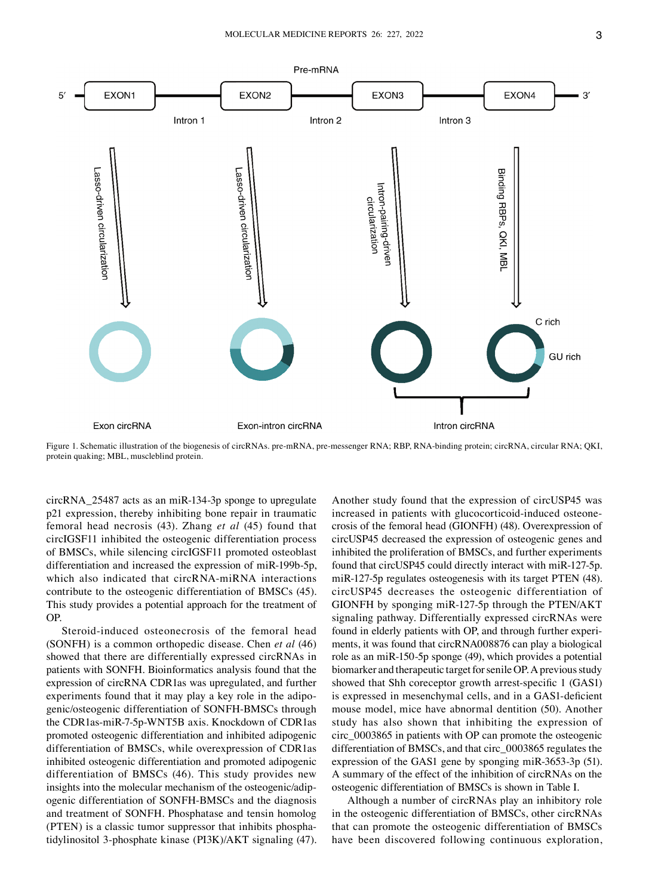

Figure 1. Schematic illustration of the biogenesis of circRNAs. pre‑mRNA, pre‑messenger RNA; RBP, RNA‑binding protein; circRNA, circular RNA; QKI, protein quaking; MBL, muscleblind protein.

circRNA\_25487 acts as an miR‑134‑3p sponge to upregulate p21 expression, thereby inhibiting bone repair in traumatic femoral head necrosis (43). Zhang *et al* (45) found that circIGSF11 inhibited the osteogenic differentiation process of BMSCs, while silencing circIGSF11 promoted osteoblast differentiation and increased the expression of miR-199b-5p, which also indicated that circRNA-miRNA interactions contribute to the osteogenic differentiation of BMSCs (45). This study provides a potential approach for the treatment of OP.

Steroid-induced osteonecrosis of the femoral head (SONFH) is a common orthopedic disease. Chen *et al* (46) showed that there are differentially expressed circRNAs in patients with SONFH. Bioinformatics analysis found that the expression of circRNA CDR1as was upregulated, and further experiments found that it may play a key role in the adipogenic/osteogenic differentiation of SONFH‑BMSCs through the CDR1as‑miR‑7‑5p‑WNT5B axis. Knockdown of CDR1as promoted osteogenic differentiation and inhibited adipogenic differentiation of BMSCs, while overexpression of CDR1as inhibited osteogenic differentiation and promoted adipogenic differentiation of BMSCs (46). This study provides new insights into the molecular mechanism of the osteogenic/adipogenic differentiation of SONFH‑BMSCs and the diagnosis and treatment of SONFH. Phosphatase and tensin homolog (PTEN) is a classic tumor suppressor that inhibits phosphatidylinositol 3‑phosphate kinase (PI3K)/AKT signaling (47).

Another study found that the expression of circUSP45 was increased in patients with glucocorticoid-induced osteonecrosis of the femoral head (GIONFH) (48). Overexpression of circUSP45 decreased the expression of osteogenic genes and inhibited the proliferation of BMSCs, and further experiments found that circUSP45 could directly interact with miR‑127‑5p. miR-127-5p regulates osteogenesis with its target PTEN (48). circUSP45 decreases the osteogenic differentiation of GIONFH by sponging miR‑127‑5p through the PTEN/AKT signaling pathway. Differentially expressed circRNAs were found in elderly patients with OP, and through further experiments, it was found that circRNA008876 can play a biological role as an miR‑150‑5p sponge (49), which provides a potential biomarker and therapeutic target for senile OP. A previous study showed that Shh coreceptor growth arrest-specific 1 (GAS1) is expressed in mesenchymal cells, and in a GAS1‑deficient mouse model, mice have abnormal dentition (50). Another study has also shown that inhibiting the expression of circ\_0003865 in patients with OP can promote the osteogenic differentiation of BMSCs, and that circ\_0003865 regulates the expression of the GAS1 gene by sponging miR‑3653‑3p (51). A summary of the effect of the inhibition of circRNAs on the osteogenic differentiation of BMSCs is shown in Table I.

Although a number of circRNAs play an inhibitory role in the osteogenic differentiation of BMSCs, other circRNAs that can promote the osteogenic differentiation of BMSCs have been discovered following continuous exploration,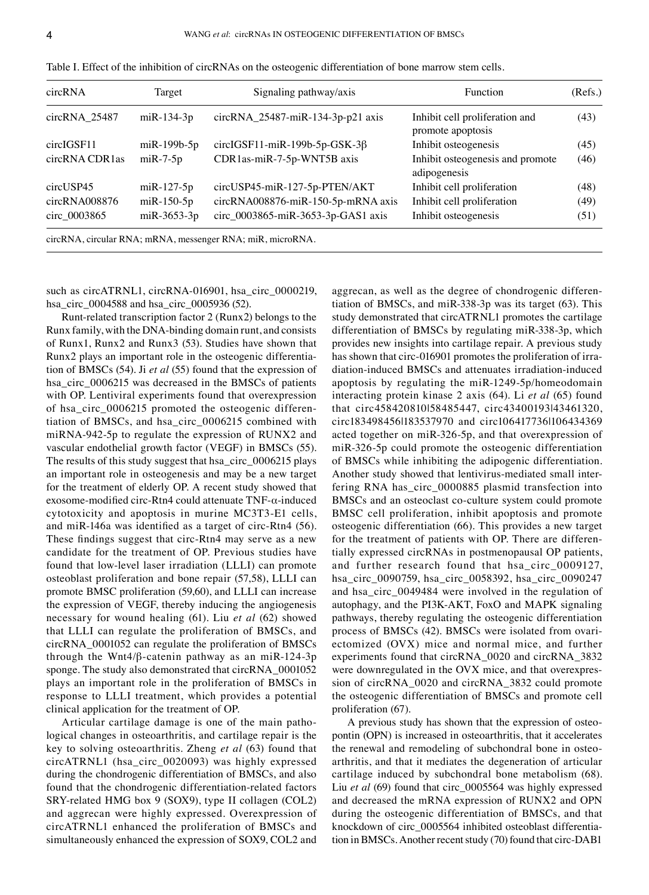| circRNA        | Target             | Signaling pathway/axis                                     | Function                                            | (Refs.) |
|----------------|--------------------|------------------------------------------------------------|-----------------------------------------------------|---------|
| circRNA 25487  | $m$ i $R-134-3p$   | circRNA_25487-miR-134-3p-p21 axis                          | Inhibit cell proliferation and<br>promote apoptosis | (43)    |
| circIGSF11     | $m$ i $R-199b-5p$  | circlGSF11-miR-199b-5p-GSK-3 $\beta$                       | Inhibit osteogenesis                                | (45)    |
| circRNA CDR1as | $m$ i R $-7-5p$    | CDR1as-miR-7-5p-WNT5B axis                                 | Inhibit osteogenesis and promote<br>adipogenesis    | (46)    |
| circUSP45      | $m$ iR-127-5p      | circUSP45-miR-127-5p-PTEN/AKT                              | Inhibit cell proliferation                          | (48)    |
| circRNA008876  | $m$ i $R-150-5p$   | circRNA008876-miR-150-5p-mRNA axis                         | Inhibit cell proliferation                          | (49)    |
| circ 0003865   | $m$ i R $-3653-3p$ | circ 0003865-miR-3653-3p-GAS1 axis                         | Inhibit osteogenesis                                | (51)    |
|                |                    | circRNA, circular RNA; mRNA, messenger RNA; miR, microRNA. |                                                     |         |

| Table I. Effect of the inhibition of circRNAs on the osteogenic differentiation of bone marrow stem cells. |  |
|------------------------------------------------------------------------------------------------------------|--|
|------------------------------------------------------------------------------------------------------------|--|

such as circATRNL1, circRNA-016901, hsa\_circ\_0000219, hsa\_circ\_0004588 and hsa\_circ\_0005936 (52).

Runt‑related transcription factor 2 (Runx2) belongs to the Runx family, with the DNA‑binding domain runt, and consists of Runx1, Runx2 and Runx3 (53). Studies have shown that Runx2 plays an important role in the osteogenic differentiation of BMSCs (54). Ji *et al* (55) found that the expression of hsa\_circ\_0006215 was decreased in the BMSCs of patients with OP. Lentiviral experiments found that overexpression of hsa\_circ\_0006215 promoted the osteogenic differentiation of BMSCs, and hsa\_circ\_0006215 combined with miRNA‑942‑5p to regulate the expression of RUNX2 and vascular endothelial growth factor (VEGF) in BMSCs (55). The results of this study suggest that hsa\_circ\_0006215 plays an important role in osteogenesis and may be a new target for the treatment of elderly OP. A recent study showed that exosome‑modified circ‑Rtn4 could attenuate TNF‑α‑induced cytotoxicity and apoptosis in murine MC3T3‑E1 cells, and miR‑146a was identified as a target of circ‑Rtn4 (56). These findings suggest that circ-Rtn4 may serve as a new candidate for the treatment of OP. Previous studies have found that low-level laser irradiation (LLLI) can promote osteoblast proliferation and bone repair (57,58), LLLI can promote BMSC proliferation (59,60), and LLLI can increase the expression of VEGF, thereby inducing the angiogenesis necessary for wound healing (61). Liu *et al* (62) showed that LLLI can regulate the proliferation of BMSCs, and circRNA\_0001052 can regulate the proliferation of BMSCs through the Wnt4/ $\beta$ -catenin pathway as an miR-124-3p sponge. The study also demonstrated that circRNA\_0001052 plays an important role in the proliferation of BMSCs in response to LLLI treatment, which provides a potential clinical application for the treatment of OP.

Articular cartilage damage is one of the main pathological changes in osteoarthritis, and cartilage repair is the key to solving osteoarthritis. Zheng *et al* (63) found that circATRNL1 (hsa\_circ\_0020093) was highly expressed during the chondrogenic differentiation of BMSCs, and also found that the chondrogenic differentiation-related factors SRY‑related HMG box 9 (SOX9), type II collagen (COL2) and aggrecan were highly expressed. Overexpression of circATRNL1 enhanced the proliferation of BMSCs and simultaneously enhanced the expression of SOX9, COL2 and aggrecan, as well as the degree of chondrogenic differentiation of BMSCs, and miR‑338‑3p was its target (63). This study demonstrated that circATRNL1 promotes the cartilage differentiation of BMSCs by regulating miR‑338‑3p, which provides new insights into cartilage repair. A previous study has shown that circ-016901 promotes the proliferation of irradiation‑induced BMSCs and attenuates irradiation‑induced apoptosis by regulating the miR‑1249‑5p/homeodomain interacting protein kinase 2 axis (64). Li *et al* (65) found that circ458420810|58485447, circ43400193|43461320, circ183498456|183537970 and circ106417736|106434369 acted together on miR‑326‑5p, and that overexpression of miR‑326‑5p could promote the osteogenic differentiation of BMSCs while inhibiting the adipogenic differentiation. Another study showed that lentivirus-mediated small interfering RNA has\_circ\_0000885 plasmid transfection into BMSCs and an osteoclast co-culture system could promote BMSC cell proliferation, inhibit apoptosis and promote osteogenic differentiation (66). This provides a new target for the treatment of patients with OP. There are differentially expressed circRNAs in postmenopausal OP patients, and further research found that hsa\_circ\_0009127, hsa\_circ\_0090759, hsa\_circ\_0058392, hsa\_circ\_0090247 and hsa\_circ\_0049484 were involved in the regulation of autophagy, and the PI3K‑AKT, FoxO and MAPK signaling pathways, thereby regulating the osteogenic differentiation process of BMSCs (42). BMSCs were isolated from ovariectomized (OVX) mice and normal mice, and further experiments found that circRNA\_0020 and circRNA\_3832 were downregulated in the OVX mice, and that overexpression of circRNA\_0020 and circRNA\_3832 could promote the osteogenic differentiation of BMSCs and promote cell proliferation (67).

A previous study has shown that the expression of osteopontin (OPN) is increased in osteoarthritis, that it accelerates the renewal and remodeling of subchondral bone in osteoarthritis, and that it mediates the degeneration of articular cartilage induced by subchondral bone metabolism (68). Liu *et al* (69) found that circ\_0005564 was highly expressed and decreased the mRNA expression of RUNX2 and OPN during the osteogenic differentiation of BMSCs, and that knockdown of circ\_0005564 inhibited osteoblast differentiation in BMSCs. Another recent study (70) found that circ‑DAB1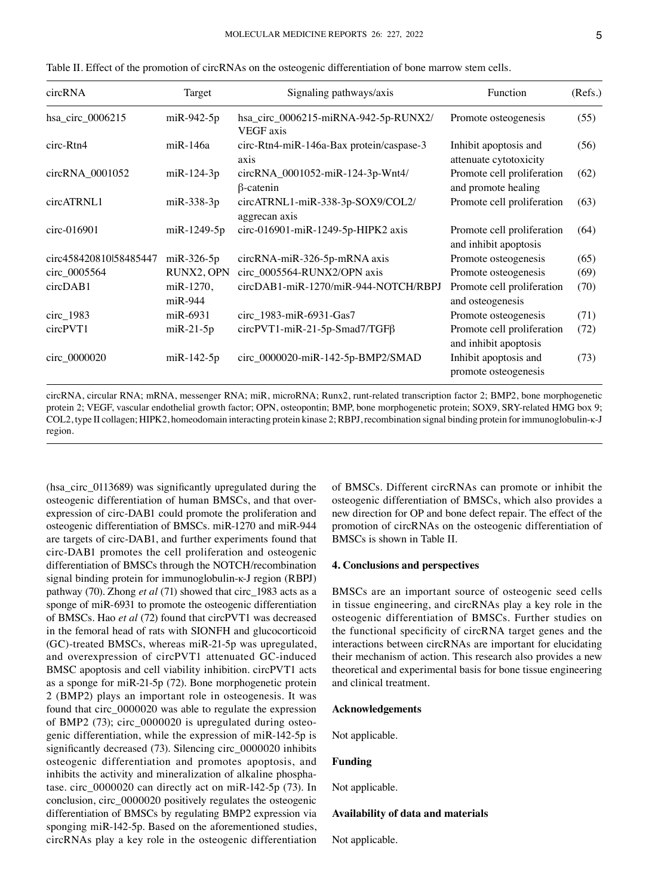| circRNA                | Target                 | Signaling pathways/axis                              | Function                                            | (Refs.) |
|------------------------|------------------------|------------------------------------------------------|-----------------------------------------------------|---------|
| hsa_circ_0006215       | $m$ iR-942-5p          | hsa_circ_0006215-miRNA-942-5p-RUNX2/<br>VEGF axis    | Promote osteogenesis                                | (55)    |
| circ-Rtn4              | miR-146a               | circ-Rtn4-miR-146a-Bax protein/caspase-3<br>axis     | Inhibit apoptosis and<br>attenuate cytotoxicity     | (56)    |
| circRNA_0001052        | $m$ iR-124-3p          | circRNA_0001052-miR-124-3p-Wnt4/<br>$\beta$ -catenin | Promote cell proliferation<br>and promote healing   | (62)    |
| circATRNL1             | $m$ i R $-338-3p$      | circATRNL1-miR-338-3p-SOX9/COL2/<br>aggrecan axis    | Promote cell proliferation                          | (63)    |
| circ-016901            | $m$ iR-1249-5p         | circ-016901-miR-1249-5p-HIPK2 axis                   | Promote cell proliferation<br>and inhibit apoptosis | (64)    |
| circ458420810l58485447 | $m$ iR-326-5p          | circRNA-miR-326-5p-mRNA axis                         | Promote osteogenesis                                | (65)    |
| circ_0005564           | RUNX2, OPN             | circ_0005564-RUNX2/OPN axis                          | Promote osteogenesis                                | (69)    |
| circDAB1               | miR-1270,<br>$miR-944$ | circDAB1-miR-1270/miR-944-NOTCH/RBPJ                 | Promote cell proliferation<br>and osteogenesis      | (70)    |
| circ_1983              | $m$ i R $-6931$        | circ_1983-miR-6931-Gas7                              | Promote osteogenesis                                | (71)    |
| circPVT1               | $miR-21-5p$            | $circPVT1-miR-21-5p-Smad7/TGF\beta$                  | Promote cell proliferation<br>and inhibit apoptosis | (72)    |
| circ_0000020           | $m$ i $R-142-5p$       | circ_0000020-miR-142-5p-BMP2/SMAD                    | Inhibit apoptosis and<br>promote osteogenesis       | (73)    |

Table II. Effect of the promotion of circRNAs on the osteogenic differentiation of bone marrow stem cells.

circRNA, circular RNA; mRNA, messenger RNA; miR, microRNA; Runx2, runt‑related transcription factor 2; BMP2, bone morphogenetic protein 2; VEGF, vascular endothelial growth factor; OPN, osteopontin; BMP, bone morphogenetic protein; SOX9, SRY-related HMG box 9; COL2, type II collagen; HIPK2, homeodomain interacting protein kinase 2; RBPJ, recombination signal binding protein for immunoglobulin‑κ‑J region.

(hsa\_circ\_0113689) was significantly upregulated during the osteogenic differentiation of human BMSCs, and that overexpression of circ‑DAB1 could promote the proliferation and osteogenic differentiation of BMSCs. miR‑1270 and miR‑944 are targets of circ‑DAB1, and further experiments found that circ‑DAB1 promotes the cell proliferation and osteogenic differentiation of BMSCs through the NOTCH/recombination signal binding protein for immunoglobulin‑κ‑J region (RBPJ) pathway (70). Zhong *et al* (71) showed that circ\_1983 acts as a sponge of miR-6931 to promote the osteogenic differentiation of BMSCs. Hao *et al* (72) found that circPVT1 was decreased in the femoral head of rats with SIONFH and glucocorticoid (GC)‑treated BMSCs, whereas miR‑21‑5p was upregulated, and overexpression of circPVT1 attenuated GC‑induced BMSC apoptosis and cell viability inhibition. circPVT1 acts as a sponge for miR‑21‑5p (72). Bone morphogenetic protein 2 (BMP2) plays an important role in osteogenesis. It was found that circ\_0000020 was able to regulate the expression of BMP2 (73); circ\_0000020 is upregulated during osteogenic differentiation, while the expression of miR‑142‑5p is significantly decreased (73). Silencing circ\_0000020 inhibits osteogenic differentiation and promotes apoptosis, and inhibits the activity and mineralization of alkaline phosphatase. circ\_0000020 can directly act on miR‑142‑5p (73). In conclusion, circ\_0000020 positively regulates the osteogenic differentiation of BMSCs by regulating BMP2 expression via sponging miR‑142‑5p. Based on the aforementioned studies, circRNAs play a key role in the osteogenic differentiation of BMSCs. Different circRNAs can promote or inhibit the osteogenic differentiation of BMSCs, which also provides a new direction for OP and bone defect repair. The effect of the promotion of circRNAs on the osteogenic differentiation of BMSCs is shown in Table II.

#### **4. Conclusions and perspectives**

BMSCs are an important source of osteogenic seed cells in tissue engineering, and circRNAs play a key role in the osteogenic differentiation of BMSCs. Further studies on the functional specificity of circRNA target genes and the interactions between circRNAs are important for elucidating their mechanism of action. This research also provides a new theoretical and experimental basis for bone tissue engineering and clinical treatment.

#### **Acknowledgements**

Not applicable.

## **Funding**

Not applicable.

## **Availability of data and materials**

Not applicable.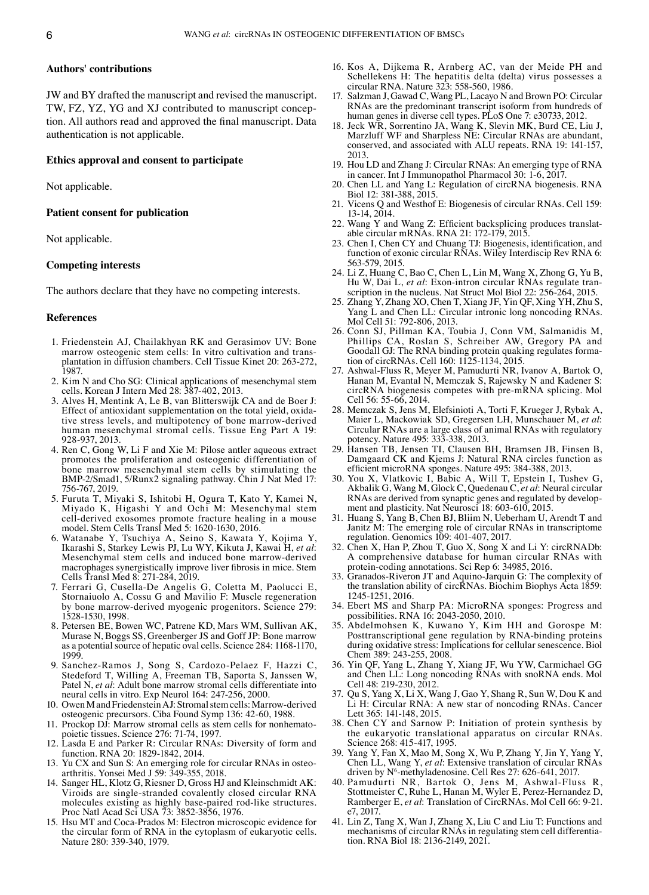## **Authors' contributions**

JW and BY drafted the manuscript and revised the manuscript. TW, FZ, YZ, YG and XJ contributed to manuscript conception. All authors read and approved the final manuscript. Data authentication is not applicable.

## **Ethics approval and consent to participate**

Not applicable.

## **Patient consent for publication**

Not applicable.

### **Competing interests**

The authors declare that they have no competing interests.

#### **References**

- 1. Friedenstein AJ, Chailakhyan RK and Gerasimov UV: Bone marrow osteogenic stem cells: In vitro cultivation and transplantation in diffusion chambers. Cell Tissue Kinet 20: 263‑272, 1987.
- 2. Kim N and Cho SG: Clinical applications of mesenchymal stem cells. Korean J Intern Med 28: 387‑402, 2013.
- 3. Alves H, Mentink A, Le B, van Blitterswijk CA and de Boer J: Effect of antioxidant supplementation on the total yield, oxidative stress levels, and multipotency of bone marrow‑derived human mesenchymal stromal cells. Tissue Eng Part A 19: 928‑937, 2013.
- 4. Ren C, Gong W, Li F and Xie M: Pilose antler aqueous extract promotes the proliferation and osteogenic differentiation of bone marrow mesenchymal stem cells by stimulating the BMP‑2/Smad1, 5/Runx2 signaling pathway. Chin J Nat Med 17: 756‑767, 2019.
- 5. Furuta T, Miyaki S, Ishitobi H, Ogura T, Kato Y, Kamei N, Miyado K, Higashi Y and Ochi M: Mesenchymal stem cell‑derived exosomes promote fracture healing in a mouse model. Stem Cells Transl Med 5: 1620‑1630, 2016.
- 6. Watanabe Y, Tsuchiya A, Seino S, Kawata Y, Kojima Y, Ikarashi S, Starkey Lewis PJ, Lu WY, Kikuta J, Kawai H, *et al*: Mesenchymal stem cells and induced bone marrow‑derived macrophages synergistically improve liver fibrosis in mice. Stem Cells Transl Med 8: 271‑284, 2019.
- 7. Ferrari G, Cusella‑De Angelis G, Coletta M, Paolucci E, Stornaiuolo A, Cossu G and Mavilio F: Muscle regeneration by bone marrow‑derived myogenic progenitors. Science 279: 1528‑1530, 1998.
- 8. Petersen BE, Bowen WC, Patrene KD, Mars WM, Sullivan AK, Murase N, Boggs SS, Greenberger JS and Goff JP: Bone marrow as a potential source of hepatic oval cells. Science 284: 1168‑1170, 1999.
- 9. Sanchez‑Ramos J, Song S, Cardozo‑Pelaez F, Hazzi C, Stedeford T, Willing A, Freeman TB, Saporta S, Janssen W, Patel N, *et al*: Adult bone marrow stromal cells differentiate into neural cells in vitro. Exp Neurol 164: 247‑256, 2000.
- 10. OwenM and Friedenstein AJ: Stromal stem cells: Marrow‑derived osteogenic precursors. Ciba Found Symp 136: 42‑60, 1988.
- 11. Prockop DJ: Marrow stromal cells as stem cells for nonhematopoietic tissues. Science 276: 71‑74, 1997.
- Lasda E and Parker R: Circular RNAs: Diversity of form and function. RNA 20: 1829‑1842, 2014.
- 13. Yu CX and Sun S: An emerging role for circular RNAs in osteo‑ arthritis. Yonsei Med J 59: 349‑355, 2018.
- 14. Sanger HL, Klotz G, Riesner D, Gross HJ and Kleinschmidt AK: Viroids are single‑stranded covalently closed circular RNA molecules existing as highly base‑paired rod‑like structures. Proc Natl Acad Sci USA 73: 3852‑3856, 1976.
- 15. Hsu MT and Coca‑Prados M: Electron microscopic evidence for the circular form of RNA in the cytoplasm of eukaryotic cells. Nature 280: 339‑340, 1979.
- 16. Kos A, Dijkema R, Arnberg AC, van der Meide PH and Schellekens H: The hepatitis delta (delta) virus possesses a circular RNA. Nature 323: 558‑560, 1986.
- 17. Salzman J, Gawad C, Wang PL, Lacayo N and Brown PO: Circular RNAs are the predominant transcript isoform from hundreds of human genes in diverse cell types. PLoS One 7: e30733, 2012.
- 18. Jeck WR, Sorrentino JA, Wang K, Slevin MK, Burd CE, Liu J, Marzluff WF and Sharpless NE: Circular RNAs are abundant, conserved, and associated with ALU repeats. RNA 19: 141-157, 2013.
- 19. Hou LD and Zhang J: Circular RNAs: An emerging type of RNA in cancer. Int J Immunopathol Pharmacol 30: 1‑6, 2017.
- 20. Chen LL and Yang L: Regulation of circRNA biogenesis. RNA Biol 12: 381‑388, 2015.
- 21. Vicens Q and Westhof E: Biogenesis of circular RNAs. Cell 159: 13‑14, 2014.
- 22. Wang Y and Wang Z: Efficient backsplicing produces translatable circular mRNAs. RNA 21: 172‑179, 2015.
- 23. Chen I, Chen CY and Chuang TJ: Biogenesis, identification, and function of exonic circular RNAs. Wiley Interdiscip Rev RNA 6: 563‑579, 2015.
- 24. Li Z, Huang C, Bao C, Chen L, Lin M, Wang X, Zhong G, Yu B, Hu W, Dai L, et al: Exon-intron circular RNAs regulate transcription in the nucleus. Nat Struct Mol Biol 22: 256‑264, 2015.
- 25. Zhang Y, Zhang XO, Chen T, Xiang JF, Yin QF, Xing YH, Zhu S, Yang L and Chen LL: Circular intronic long noncoding RNAs. Mol Cell 51: 792-806, 2013.
- 26. Conn SJ, Pillman KA, Toubia J, Conn VM, Salmanidis M, Phillips CA, Roslan S, Schreiber AW, Gregory PA and Goodall GJ: The RNA binding protein quaking regulates formation of circRNAs. Cell 160: 1125-1134, 2015.
- 27. Ashwal-Fluss R, Meyer M, Pamudurti NR, Ivanov A, Bartok O, Hanan M, Evantal N, Memczak S, Rajewsky N and Kadener S: circRNA biogenesis competes with pre-mRNA splicing. Mol Cell 56: 55‑66, 2014.
- 28. Memczak S, Jens M, Elefsinioti A, Torti F, Krueger J, Rybak A, Maier L, Mackowiak SD, Gregersen LH, Munschauer M, *et al*: Circular RNAs are a large class of animal RNAs with regulatory potency. Nature 495: 333‑338, 2013.
- 29. Hansen TB, Jensen TI, Clausen BH, Bramsen JB, Finsen B, Damgaard CK and Kjems J: Natural RNA circles function as efficient microRNA sponges. Nature 495: 384‑388, 2013.
- 30. You X, Vlatkovic I, Babic A, Will T, Epstein I, Tushev G, Akbalik G, Wang M, Glock C, Quedenau C, *et al*: Neural circular RNAs are derived from synaptic genes and regulated by development and plasticity. Nat Neurosci 18: 603-610, 2015.
- 31. Huang S, Yang B, Chen BJ, Bliim N, Ueberham U, Arendt T and Janitz M: The emerging role of circular RNAs in transcriptome regulation. Genomics 109: 401‑407, 2017.
- 32. Chen X, Han P, Zhou T, Guo X, Song X and Li Y: circRNADb: A comprehensive database for human circular RNAs with protein‑coding annotations. Sci Rep 6: 34985, 2016.
- 33. Granados‑Riveron JT and Aquino‑Jarquin G: The complexity of the translation ability of circRNAs. Biochim Biophys Acta 1859: 1245‑1251, 2016.
- 34. Ebert MS and Sharp PA: MicroRNA sponges: Progress and possibilities. RNA 16: 2043‑2050, 2010.
- 35. Abdelmohsen K, Kuwano Y, Kim HH and Gorospe M: Posttranscriptional gene regulation by RNA‑binding proteins during oxidative stress: Implications for cellular senescence. Biol Chem 389: 243‑255, 2008.
- 36. Yin QF, Yang L, Zhang Y, Xiang JF, Wu YW, Carmichael GG and Chen LL: Long noncoding RNAs with snoRNA ends. Mol Cell 48: 219‑230, 2012.
- 37. Qu S, Yang X, Li X, Wang J, Gao Y, Shang R, Sun W, Dou K and Li H: Circular RNA: A new star of noncoding RNAs. Cancer Lett 365: 141‑148, 2015.
- 38. Chen CY and Sarnow P: Initiation of protein synthesis by the eukaryotic translational apparatus on circular RNAs. Science 268: 415‑417, 1995.
- 39. Yang Y, Fan X, Mao M, Song X, Wu P, Zhang Y, Jin Y, Yang Y, Chen LL, Wang Y, *et al*: Extensive translation of circular RNAs driven by N<sup>6</sup>-methyladenosine. Cell Res 27: 626-641, 2017.
- 40. Pamudurti NR, Bartok O, Jens M, Ashwal‑Fluss R, Stottmeister C, Ruhe L, Hanan M, Wyler E, Perez-Hernandez D, Ramberger E, *et al*: Translation of CircRNAs. Mol Cell 66: 9‑21. e7, 2017.
- 41. Lin Z, Tang X, Wan J, Zhang X, Liu C and Liu T: Functions and mechanisms of circular RNAs in regulating stem cell differentiation. RNA Biol 18: 2136‑2149, 2021.